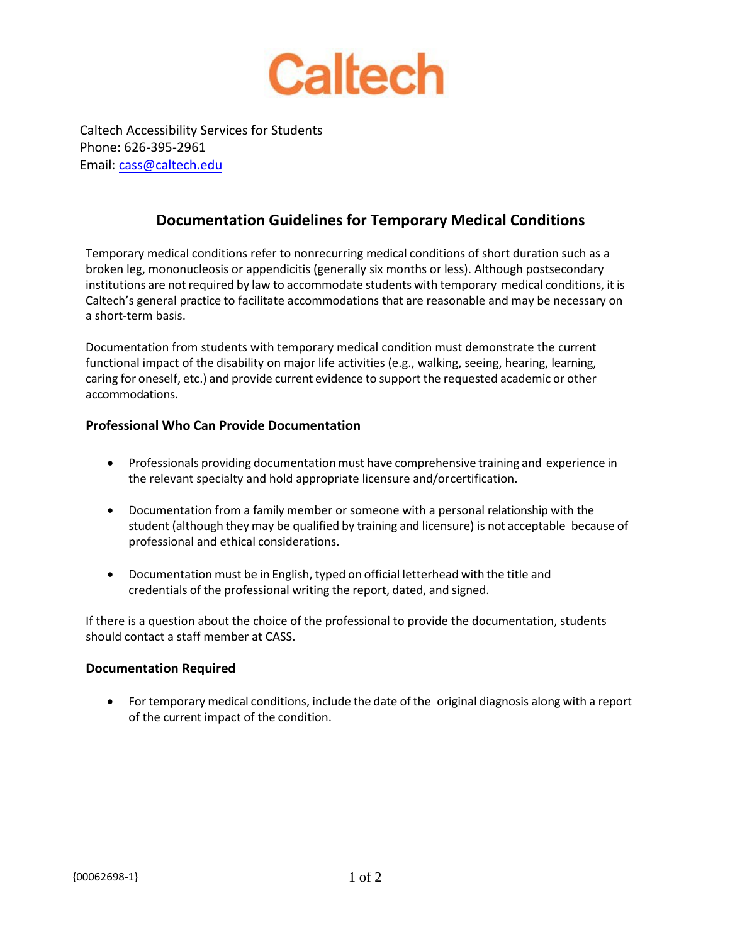

Caltech Accessibility Services for Students Phone: 626-395-2961 Email: cass@caltech.edu

## **Documentation Guidelines for Temporary Medical Conditions**

Temporary medical conditions refer to nonrecurring medical conditions of short duration such as a broken leg, mononucleosis or appendicitis (generally six months or less). Although postsecondary institutions are not required by law to accommodate students with temporary medical conditions, it is Caltech's general practice to facilitate accommodations that are reasonable and may be necessary on a short-term basis.

Documentation from students with temporary medical condition must demonstrate the current functional impact of the disability on major life activities (e.g., walking, seeing, hearing, learning, caring for oneself, etc.) and provide current evidence to support the requested academic or other accommodations.

## **Professional Who Can Provide Documentation**

- Professionals providing documentation must have comprehensive training and experience in the relevant specialty and hold appropriate licensure and/or certification.
- Documentation from a family member or someone with a personal relationship with the student (although they may be qualified by training and licensure) is not acceptable because of professional and ethical considerations.
- Documentation must be in English, typed on official letterhead with the title and credentials of the professional writing the report, dated, and signed.

If there is a question about the choice of the professional to provide the documentation, students should contact a staff member at CASS.

## **Documentation Required**

• For temporary medical conditions, include the date of the original diagnosis along with a report of the current impact of the condition.